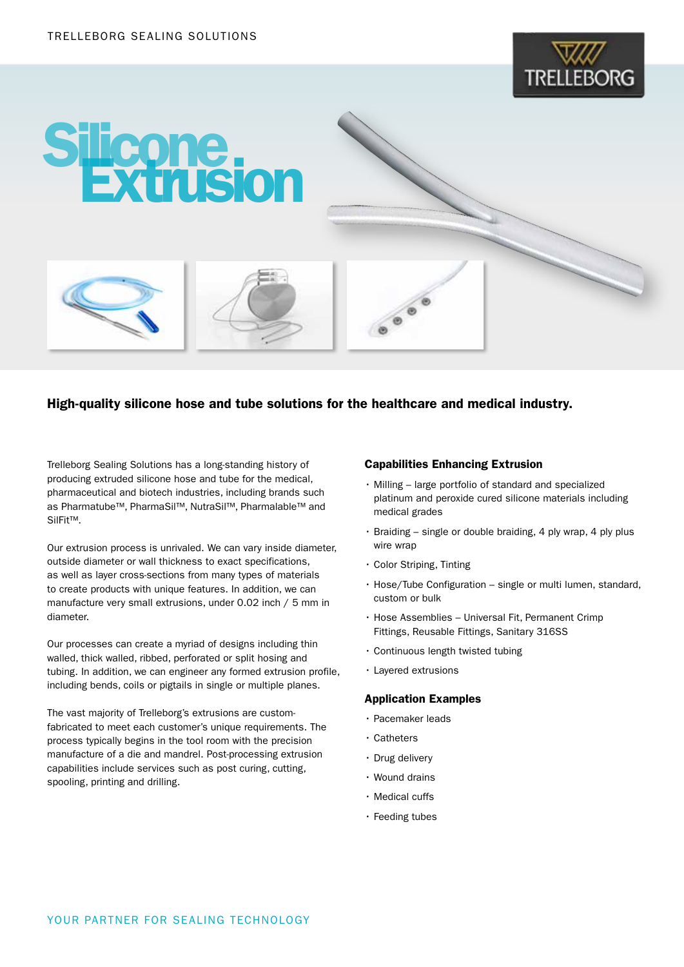



## High-quality silicone hose and tube solutions for the healthcare and medical industry.

Trelleborg Sealing Solutions has a long-standing history of producing extruded silicone hose and tube for the medical, pharmaceutical and biotech industries, including brands such as Pharmatube™, PharmaSil™, NutraSil™, Pharmalable™ and SilFit™.

Our extrusion process is unrivaled. We can vary inside diameter, outside diameter or wall thickness to exact specifications, as well as layer cross-sections from many types of materials to create products with unique features. In addition, we can manufacture very small extrusions, under 0.02 inch / 5 mm in diameter.

Our processes can create a myriad of designs including thin walled, thick walled, ribbed, perforated or split hosing and tubing. In addition, we can engineer any formed extrusion profile, including bends, coils or pigtails in single or multiple planes.

The vast majority of Trelleborg's extrusions are customfabricated to meet each customer's unique requirements. The process typically begins in the tool room with the precision manufacture of a die and mandrel. Post-processing extrusion capabilities include services such as post curing, cutting, spooling, printing and drilling.

#### Capabilities Enhancing Extrusion

- Milling large portfolio of standard and specialized platinum and peroxide cured silicone materials including medical grades
- Braiding single or double braiding, 4 ply wrap, 4 ply plus wire wrap
- Color Striping, Tinting
- Hose/Tube Configuration single or multi lumen, standard, custom or bulk
- Hose Assemblies Universal Fit, Permanent Crimp Fittings, Reusable Fittings, Sanitary 316SS
- Continuous length twisted tubing
- Layered extrusions

#### Application Examples

- Pacemaker leads
- Catheters
- Drug delivery
- Wound drains
- Medical cuffs
- Feeding tubes